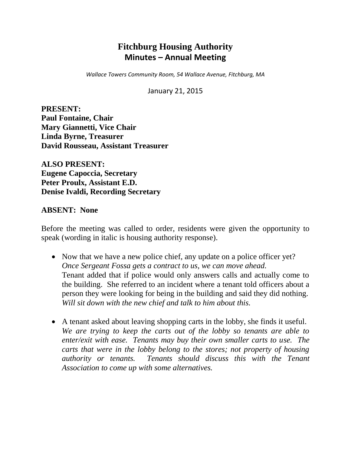# **Fitchburg Housing Authority Minutes – Annual Meeting**

*Wallace Towers Community Room, 54 Wallace Avenue, Fitchburg, MA*

January 21, 2015

**PRESENT: Paul Fontaine, Chair Mary Giannetti, Vice Chair Linda Byrne, Treasurer David Rousseau, Assistant Treasurer**

**ALSO PRESENT: Eugene Capoccia, Secretary Peter Proulx, Assistant E.D. Denise Ivaldi, Recording Secretary**

### **ABSENT: None**

Before the meeting was called to order, residents were given the opportunity to speak (wording in italic is housing authority response).

- Now that we have a new police chief, any update on a police officer yet? *Once Sergeant Fossa gets a contract to us, we can move ahead.* Tenant added that if police would only answers calls and actually come to the building. She referred to an incident where a tenant told officers about a person they were looking for being in the building and said they did nothing. *Will sit down with the new chief and talk to him about this.*
- A tenant asked about leaving shopping carts in the lobby, she finds it useful. *We are trying to keep the carts out of the lobby so tenants are able to enter/exit with ease. Tenants may buy their own smaller carts to use. The carts that were in the lobby belong to the stores; not property of housing authority or tenants. Tenants should discuss this with the Tenant Association to come up with some alternatives.*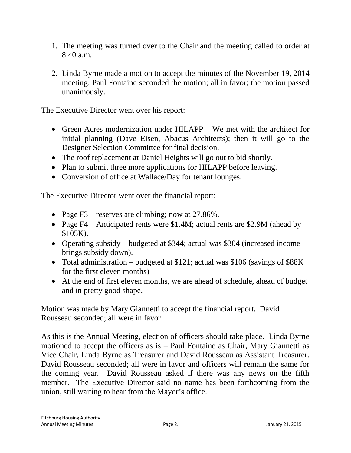- 1. The meeting was turned over to the Chair and the meeting called to order at 8:40 a.m.
- 2. Linda Byrne made a motion to accept the minutes of the November 19, 2014 meeting. Paul Fontaine seconded the motion; all in favor; the motion passed unanimously.

The Executive Director went over his report:

- Green Acres modernization under HILAPP We met with the architect for initial planning (Dave Eisen, Abacus Architects); then it will go to the Designer Selection Committee for final decision.
- The roof replacement at Daniel Heights will go out to bid shortly.
- Plan to submit three more applications for HILAPP before leaving.
- Conversion of office at Wallace/Day for tenant lounges.

The Executive Director went over the financial report:

- Page F3 reserves are climbing; now at  $27.86\%$ .
- Page F4 Anticipated rents were \$1.4M; actual rents are \$2.9M (ahead by \$105K).
- Operating subsidy budgeted at \$344; actual was \$304 (increased income brings subsidy down).
- Total administration budgeted at \$121; actual was \$106 (savings of \$88K) for the first eleven months)
- At the end of first eleven months, we are ahead of schedule, ahead of budget and in pretty good shape.

Motion was made by Mary Giannetti to accept the financial report. David Rousseau seconded; all were in favor.

As this is the Annual Meeting, election of officers should take place. Linda Byrne motioned to accept the officers as is – Paul Fontaine as Chair, Mary Giannetti as Vice Chair, Linda Byrne as Treasurer and David Rousseau as Assistant Treasurer. David Rousseau seconded; all were in favor and officers will remain the same for the coming year. David Rousseau asked if there was any news on the fifth member. The Executive Director said no name has been forthcoming from the union, still waiting to hear from the Mayor's office.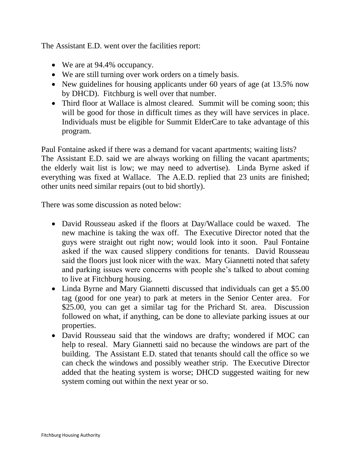The Assistant E.D. went over the facilities report:

- We are at 94.4% occupancy.
- We are still turning over work orders on a timely basis.
- New guidelines for housing applicants under 60 years of age (at 13.5% now by DHCD). Fitchburg is well over that number.
- Third floor at Wallace is almost cleared. Summit will be coming soon; this will be good for those in difficult times as they will have services in place. Individuals must be eligible for Summit ElderCare to take advantage of this program.

Paul Fontaine asked if there was a demand for vacant apartments; waiting lists? The Assistant E.D. said we are always working on filling the vacant apartments; the elderly wait list is low; we may need to advertise). Linda Byrne asked if everything was fixed at Wallace. The A.E.D. replied that 23 units are finished; other units need similar repairs (out to bid shortly).

There was some discussion as noted below:

- David Rousseau asked if the floors at Day/Wallace could be waxed. The new machine is taking the wax off. The Executive Director noted that the guys were straight out right now; would look into it soon. Paul Fontaine asked if the wax caused slippery conditions for tenants. David Rousseau said the floors just look nicer with the wax. Mary Giannetti noted that safety and parking issues were concerns with people she's talked to about coming to live at Fitchburg housing.
- Linda Byrne and Mary Giannetti discussed that individuals can get a \$5.00 tag (good for one year) to park at meters in the Senior Center area. For \$25.00, you can get a similar tag for the Prichard St. area. Discussion followed on what, if anything, can be done to alleviate parking issues at our properties.
- David Rousseau said that the windows are drafty; wondered if MOC can help to reseal. Mary Giannetti said no because the windows are part of the building. The Assistant E.D. stated that tenants should call the office so we can check the windows and possibly weather strip. The Executive Director added that the heating system is worse; DHCD suggested waiting for new system coming out within the next year or so.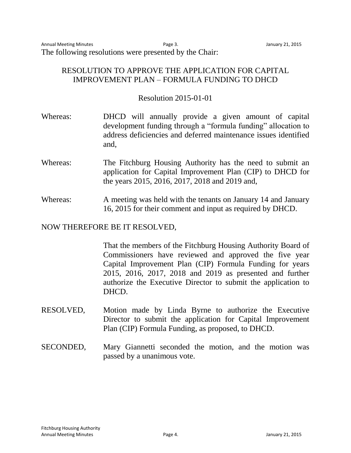### RESOLUTION TO APPROVE THE APPLICATION FOR CAPITAL IMPROVEMENT PLAN – FORMULA FUNDING TO DHCD

### Resolution 2015-01-01

- Whereas: DHCD will annually provide a given amount of capital development funding through a "formula funding" allocation to address deficiencies and deferred maintenance issues identified and,
- Whereas: The Fitchburg Housing Authority has the need to submit an application for Capital Improvement Plan (CIP) to DHCD for the years 2015, 2016, 2017, 2018 and 2019 and,
- Whereas: A meeting was held with the tenants on January 14 and January 16, 2015 for their comment and input as required by DHCD.

### NOW THEREFORE BE IT RESOLVED,

That the members of the Fitchburg Housing Authority Board of Commissioners have reviewed and approved the five year Capital Improvement Plan (CIP) Formula Funding for years 2015, 2016, 2017, 2018 and 2019 as presented and further authorize the Executive Director to submit the application to DHCD.

- RESOLVED, Motion made by Linda Byrne to authorize the Executive Director to submit the application for Capital Improvement Plan (CIP) Formula Funding, as proposed, to DHCD.
- SECONDED, Mary Giannetti seconded the motion, and the motion was passed by a unanimous vote.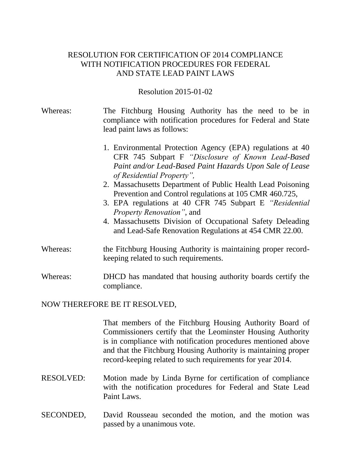### RESOLUTION FOR CERTIFICATION OF 2014 COMPLIANCE WITH NOTIFICATION PROCEDURES FOR FEDERAL AND STATE LEAD PAINT LAWS

#### Resolution 2015-01-02

- Whereas: The Fitchburg Housing Authority has the need to be in compliance with notification procedures for Federal and State lead paint laws as follows:
	- 1. Environmental Protection Agency (EPA) regulations at 40 CFR 745 Subpart F *"Disclosure of Known Lead-Based Paint and/or Lead-Based Paint Hazards Upon Sale of Lease of Residential Property",*
	- 2. Massachusetts Department of Public Health Lead Poisoning Prevention and Control regulations at 105 CMR 460.725,
	- 3. EPA regulations at 40 CFR 745 Subpart E *"Residential Property Renovation"*, and
	- 4. Massachusetts Division of Occupational Safety Deleading and Lead-Safe Renovation Regulations at 454 CMR 22.00.
- Whereas: the Fitchburg Housing Authority is maintaining proper recordkeeping related to such requirements.

Whereas: DHCD has mandated that housing authority boards certify the compliance.

#### NOW THEREFORE BE IT RESOLVED,

That members of the Fitchburg Housing Authority Board of Commissioners certify that the Leominster Housing Authority is in compliance with notification procedures mentioned above and that the Fitchburg Housing Authority is maintaining proper record-keeping related to such requirements for year 2014.

- RESOLVED: Motion made by Linda Byrne for certification of compliance with the notification procedures for Federal and State Lead Paint Laws.
- SECONDED, David Rousseau seconded the motion, and the motion was passed by a unanimous vote.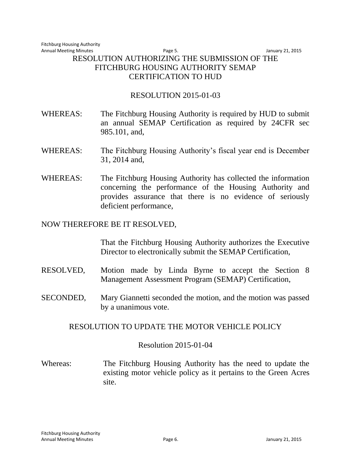### Annual Meeting Minutes **Annual Meeting Minutes Page 5.** Annual Meeting Minutes **Page 5.** Annual Meeting 21, 2015 RESOLUTION AUTHORIZING THE SUBMISSION OF THE FITCHBURG HOUSING AUTHORITY SEMAP CERTIFICATION TO HUD

## RESOLUTION 2015-01-03

- WHEREAS: The Fitchburg Housing Authority is required by HUD to submit an annual SEMAP Certification as required by 24CFR sec 985.101, and,
- WHEREAS: The Fitchburg Housing Authority's fiscal year end is December 31, 2014 and,
- WHEREAS: The Fitchburg Housing Authority has collected the information concerning the performance of the Housing Authority and provides assurance that there is no evidence of seriously deficient performance,

### NOW THEREFORE BE IT RESOLVED,

That the Fitchburg Housing Authority authorizes the Executive Director to electronically submit the SEMAP Certification,

- RESOLVED, Motion made by Linda Byrne to accept the Section 8 Management Assessment Program (SEMAP) Certification,
- SECONDED, Mary Giannetti seconded the motion, and the motion was passed by a unanimous vote.

### RESOLUTION TO UPDATE THE MOTOR VEHICLE POLICY

### Resolution 2015-01-04

Whereas: The Fitchburg Housing Authority has the need to update the existing motor vehicle policy as it pertains to the Green Acres site.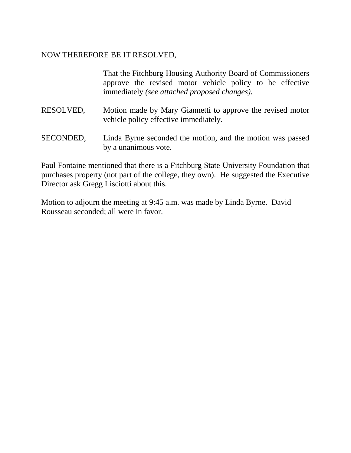### NOW THEREFORE BE IT RESOLVED,

That the Fitchburg Housing Authority Board of Commissioners approve the revised motor vehicle policy to be effective immediately *(see attached proposed changes).*

- RESOLVED, Motion made by Mary Giannetti to approve the revised motor vehicle policy effective immediately.
- SECONDED, Linda Byrne seconded the motion, and the motion was passed by a unanimous vote.

Paul Fontaine mentioned that there is a Fitchburg State University Foundation that purchases property (not part of the college, they own). He suggested the Executive Director ask Gregg Lisciotti about this.

Motion to adjourn the meeting at 9:45 a.m. was made by Linda Byrne. David Rousseau seconded; all were in favor.